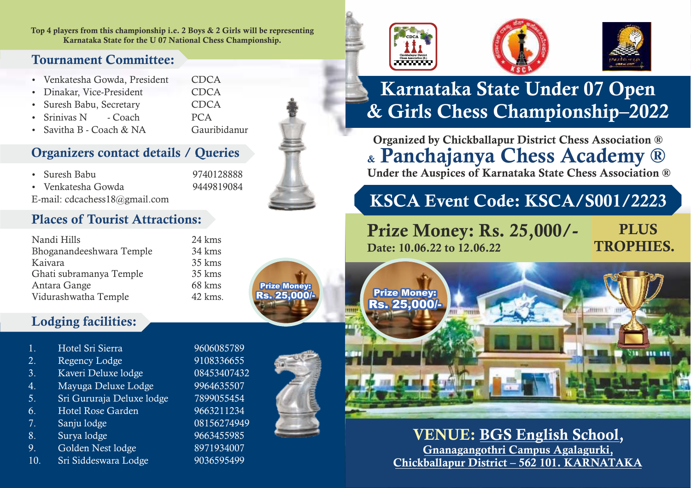Top 4 players from this championship i.e. 2 Boys & 2 Girls will be representing Karnataka State for the U 07 National Chess Championship.

## Tournament Committee:

| · Venkatesha Gowda, President | CDCA        |
|-------------------------------|-------------|
| • Dinakar, Vice-President     | <b>CDCA</b> |
| • Suresh Babu, Secretary      | CDCA        |
| • Srinivas N - Coach          | <b>PCA</b>  |

• Savitha B - Coach & NA Gauribidanur

## Organizers contact details / Queries

| • Suresh Babu |  |  |  | 9740128888  |
|---------------|--|--|--|-------------|
|               |  |  |  | 0.110010001 |

- Ÿ Venkatesha Gowda 9449819084
- 

E-mail: cdcachess18@gmail.com

## Places of Tourist Attractions:

| Nandi Hills              | 24 kms  |
|--------------------------|---------|
| Bhoganandeeshwara Temple | 34 kms  |
| Kaivara                  | 35 kms  |
| Ghati subramanya Temple  | 35 kms  |
| Antara Gange             | 68 kms  |
| Vidurashwatha Temple     | 42 kms. |

## Lodging facilities:

- 1. Hotel Sri Sierra 9606085789
- 2. Regency Lodge 9108336655
- 3. Kaveri Deluxe lodge 08453407432
- 4. Mayuga Deluxe Lodge 9964635507
- 5. Sri Gururaja Deluxe lodge 7899055454
- 6. Hotel Rose Garden 9663211234
- 7. Sanju lodge 08156274949
- 8. Surya lodge 9663455985
- 9. Golden Nest lodge 8971934007
- 10. Sri Siddeswara Lodge 9036595499









## Karnataka State Under 07 Open & Girls Chess Championship–2022

Organized by Chickballapur District Chess Association ® & Panchajanya Chess Academy ® Under the Auspices of Karnataka State Chess Association ®

## KSCA Event Code: KSCA/S001/2223

## Prize Money: Rs. 25,000/- Date: 10.06.22 to 12.06.22

**PLUS** TROPHIES.



## VENUE: BGS English School, Gnanagangothri Campus Agalagurki, Chickballapur District – 562 101. KARNATAKA